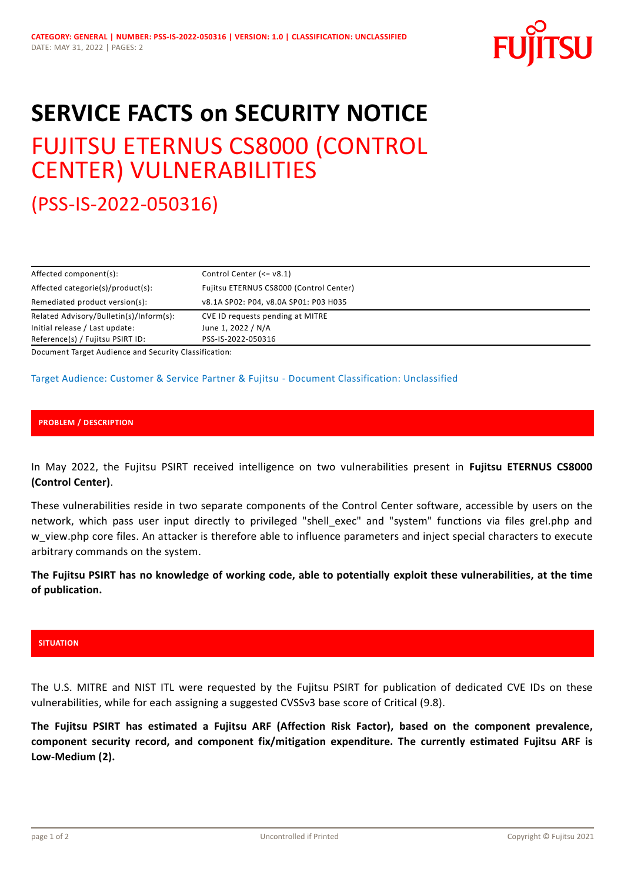

# **SERVICE FACTS on SECURITY NOTICE**

# FUJITSU ETERNUS CS8000 (CONTROL CENTER) VULNERABILITIES

(PSS-IS-2022-050316)

| Affected component(s):                     | Control Center $\leq -v8.1$ )           |
|--------------------------------------------|-----------------------------------------|
| Affected categorie(s)/product(s):          | Fujitsu ETERNUS CS8000 (Control Center) |
| Remediated product version(s):             | v8.1A SP02: P04, v8.0A SP01: P03 H035   |
| Related Advisory/Bulletin(s)/Inform(s):    | CVE ID requests pending at MITRE        |
| Initial release / Last update:             | June 1, 2022 / N/A                      |
| Reference(s) / Fujitsu PSIRT ID:           | PSS-IS-2022-050316                      |
| 그 그 그 그 사는 그 사는 그 사는 그 사는 그 사는 그 사는 것이 없다. |                                         |

Document Target Audience and Security Classification:

## Target Audience: Customer & Service Partner & Fujitsu - Document Classification: Unclassified

## **PROBLEM / DESCRIPTION**

In May 2022, the Fujitsu PSIRT received intelligence on two vulnerabilities present in **Fujitsu ETERNUS CS8000 (Control Center)**.

These vulnerabilities reside in two separate components of the Control Center software, accessible by users on the network, which pass user input directly to privileged "shell\_exec" and "system" functions via files grel.php and w view.php core files. An attacker is therefore able to influence parameters and inject special characters to execute arbitrary commands on the system.

**The Fujitsu PSIRT has no knowledge of working code, able to potentially exploit these vulnerabilities, at the time of publication.**

#### **SITUATION**

The U.S. MITRE and NIST ITL were requested by the Fujitsu PSIRT for publication of dedicated CVE IDs on these vulnerabilities, while for each assigning a suggested CVSSv3 base score of Critical (9.8).

**The Fujitsu PSIRT has estimated a Fujitsu ARF (Affection Risk Factor), based on the component prevalence, component security record, and component fix/mitigation expenditure. The currently estimated Fujitsu ARF is Low-Medium (2).**